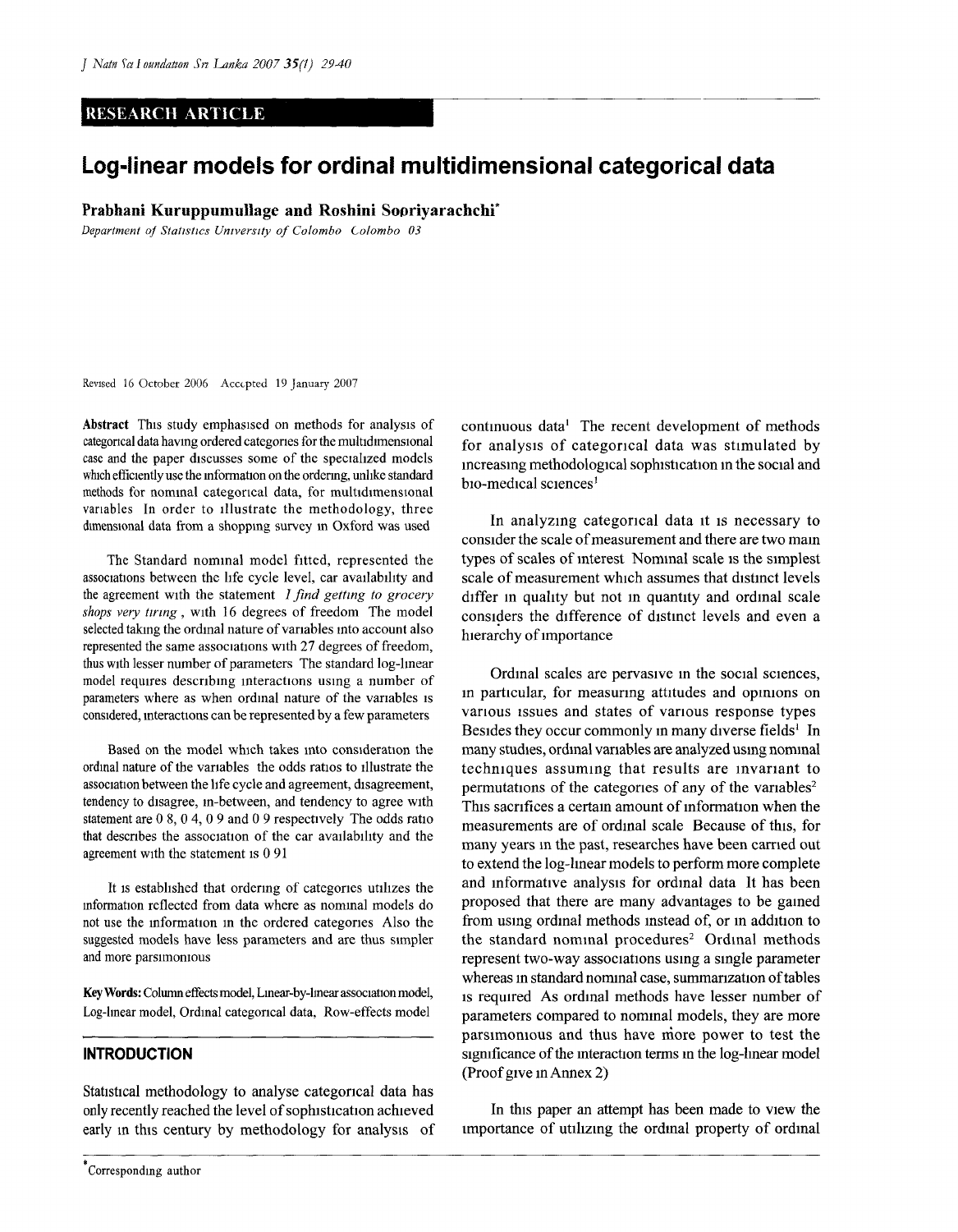# RESEARCH ARTICLE

# **Log-linear models for ordinal multidimensional categorical data**

Prabhani Kuruppumullage and Roshini Sopriyarachchi<sup>\*</sup>

*Department of Statistics University of Colombo Colombo 03* 

Revised 16 October 2006 Accepted 19 January 2007

Abstract This study emphasised on methods for analysis of categorical data having ordered categories for the multidimensional case and the paper discusses some of the specialized models which efficiently use the information on the ordering, unlike standard methods for nominal categorical data, for multidimensional variables In order to illustrate the methodology, three dimensional data from a shopping survey in Oxford was used

The Standard nominal model fitted, represented the associations between the life cycle level, car availability and the agreement with the statement *I find getting to grocery shops very tiring*, with 16 degrees of freedom The model selected taking the ordinal nature of variables into account also represented the same associations with 27 degrees of freedom, thus with lesser number of parameters The standard log-linear model requires describing interactions using a number of parameters where as when ordinal nature of the variables is considered, interactions can be represented by a few parameters

Based on the model which takes into consideration the ordinal nature of the variables the odds ratios to illustrate the association between the life cycle and agreement, disagreement, tendency to disagree, in-between, and tendency to agree with statement are 0 8, 0 4, 0 9 and 0 9 respectively The odds ratio that describes the association of the car availability and the agreement with the statement is 0 91

It is established that ordering of categories utilizes the information reflected from data where as nominal models do not use the information in the ordered categories Also the suggested models have less parameters and are thus simpler and more parsimonious

Key Words: Column effects model, Linear-by-lmear association model, Log-linear model, Ordinal categorical data, Row-effects model

# **INTRODUCTION**

Statistical methodology to analyse categorical data has only recently reached the level of sophistication achieved early in this century by methodology for analysis of

**Corresponding author** 

continuous data<sup>1</sup> The recent development of methods for analysis of categorical data was stimulated by increasing methodological sophistication in the social and bio-medical sciences $<sup>1</sup>$ </sup>

In analyzing categorical data it is necessary to consider the scale of measurement and there are two mam types of scales of interest Nominal scale is the simplest scale of measurement which assumes that distinct levels differ in quality but not in quantity and ordinal scale considers the difference of distinct levels and even a hierarchy of importance

Ordinal scales are pervasive in the social sciences, in particular, for measuring attitudes and opinions on various issues and states of various response types Besides they occur commonly in many diverse fields<sup>1</sup> In many studies, ordinal variables are analyzed using nominal techniques assuming that results are invariant to permutations of the categories of any of the variables<sup>2</sup> This sacrifices a certain amount of information when the measurements are of ordinal scale Because of this, for many years in the past, researches have been carried out to extend the log-linear models to perform more complete and informative analysis for ordinal data It has been proposed that there are many advantages to be gained from using ordinal methods instead of, or in addition to the standard nominal procedures<sup>2</sup> Ordinal methods represent two-way associations using a single parameter whereas in standard nominal case, summarization of tables is required As ordinal methods have lesser number of parameters compared to nominal models, they are more parsimonious and thus have more power to test the significance of the interaction terms in the log-linear model (Proof give in Annex 2)

In this paper an attempt has been made to view the importance of utilizing the ordinal property of ordinal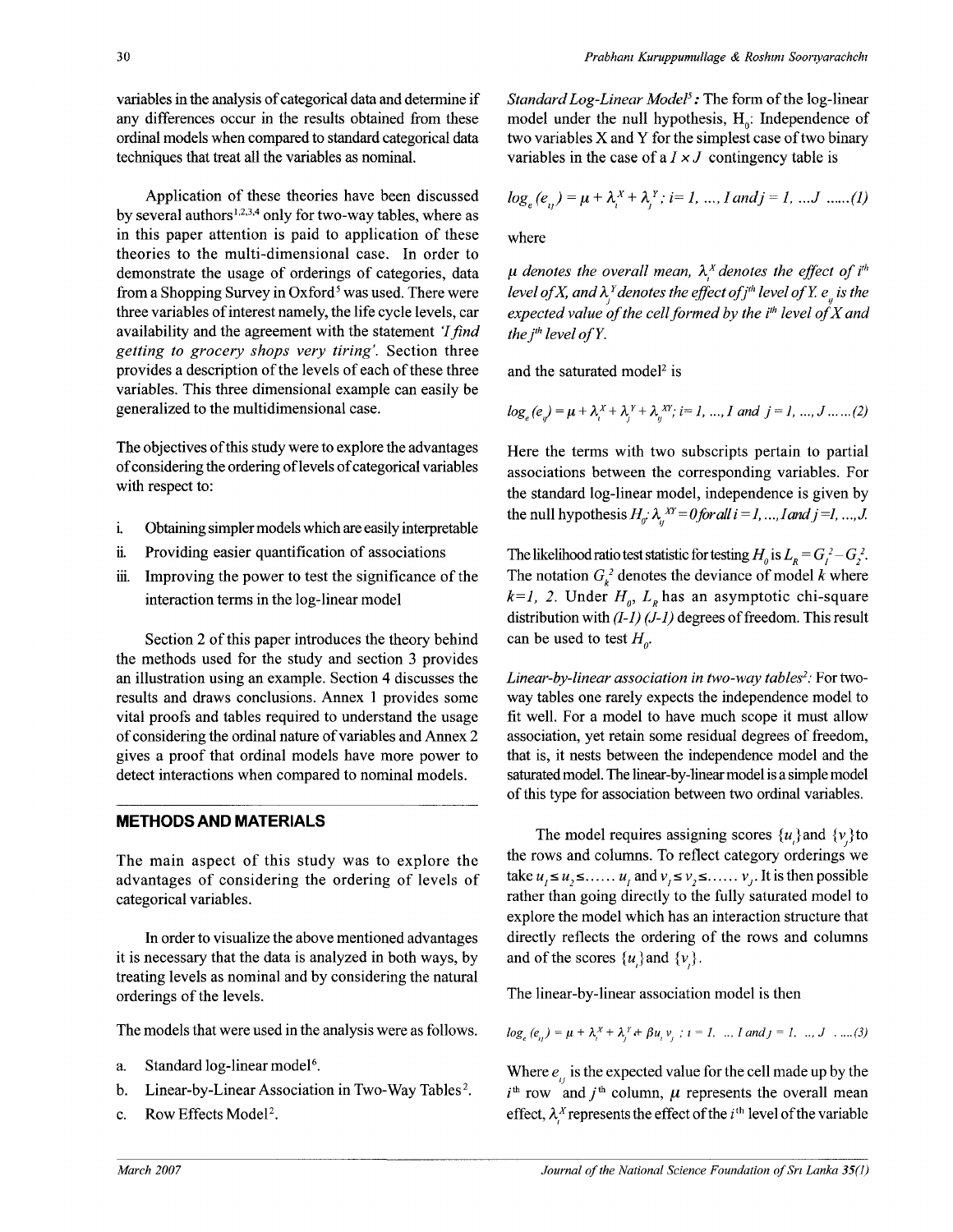variables in the analysis of categorical data and determine if any differences occur in the results obtained from these ordinal models when compared to standard categorical data techniques that treat all the variables as nominal.

Application of these theories have been discussed by several authors<sup>1,2,3,4</sup> only for two-way tables, where as in this paper attention is paid to application of these theories to the multi-dimensional case. In order to demonstrate the usage of orderings of categories, data from a Shopping Survey in Oxford<sup>5</sup> was used. There were three variables of interest namely, the life cycle levels, car availability and the agreement with the statement *'Ifind getting to grocery shops very tiring.* Section three provides a description of the levels of each of these three variables. This three dimensional example can easily be generalized to the multidimensional case.

The objectives of this study were to explore the advantages of considering the ordering of levels of categorical variables with respect to:

- i. Obtaining simpler models which are easily interpretable
- ii. Providing easier quantification of associations
- iii. Improving the power to test the significance of the interaction terms in the log-linear model

Section 2 of this paper introduces the theory behind the methods used for the study and section 3 provides an illustration using an example. Section 4 discusses the results and draws conclusions. Annex 1 provides some vital proofs and tables required to understand the usage of considering the ordinal nature of variables and Annex 2 gives a proof that ordinal models have more power to detect interactions when compared to nominal models.

# **METHODS AND MATERIALS**

The main aspect of this study was to explore the advantages of considering the ordering of levels of categorical variables.

In order to visualize the above mentioned advantages it is necessary that the data is analyzed in both ways, by treating levels as nominal and by considering the natural orderings of the levels.

The models that were used in the analysis were as follows.

- a. Standard log-linear model<sup>6</sup>.
- b. Linear-by-Linear Association in Two-Way Tables<sup>2</sup>.
- c. Row Effects Model<sup>2</sup>.

*Standard Log-Linear Model<sup>5</sup> :* The form of the log-linear model under the null hypothesis,  $H_0$ : Independence of two variables X and Y for the simplest case of two binary variables in the case of a  $I \times J$  contingency table is

$$
log_e(e_{i}) = \mu + \lambda_i^X + \lambda_i^Y
$$
;  $i = 1, ..., I$  and  $j = 1, ..., J$  .....(1)

where

 $\mu$  denotes the overall mean,  $\lambda_i^X$  denotes the effect of i<sup>th</sup> level of X, and  $\lambda_i^Y$  denotes the effect of j<sup>th</sup> level of Y.  $e_n$  is the *expected value of the cell formed by the ith level ofX and the*  $i^{th}$  *level of Y.* 

and the saturated model<sup>2</sup> is

$$
log_e(e_y) = \mu + \lambda_i^X + \lambda_j^Y + \lambda_j^{XY}
$$
,  $i = 1, ..., I$  and  $j = 1, ..., J$ .....(2)

Here the terms with two subscripts pertain to partial associations between the corresponding variables. For the standard log-linear model, independence is given by the null hypothesis  $H_a$ :  $\lambda_a$ <sup>*xY*</sup> = 0 for all  $i = 1, ..., I$  and  $j = 1, ..., J$ .

The likelihood ratio test statistic for testing  $H_0$  is  $L_R = G_l^2 - G_2^2$ . The notation  $G_k^2$  denotes the deviance of model k where  $k=1$ , 2. Under  $H_0$ ,  $L_R$  has an asymptotic chi-square distribution with *(1-1) (J-l)* degrees of freedom. This result can be used to test  $H<sub>a</sub>$ .

*Linear-by-linear association in two-way tables<sup>2</sup> :* For twoway tables one rarely expects the independence model to fit well. For a model to have much scope it must allow association, yet retain some residual degrees of freedom, that is, it nests between the independence model and the saturated model. The linear-by-linear model is a simple model of this type for association between two ordinal variables.

The model requires assigning scores  $\{u\}$  and  $\{v\}$  to the rows and columns. To reflect category orderings we take  $u_1 \le u_2 \le \ldots u_r$  and  $v_2 \le v_3 \le \ldots v_r$ . It is then possible rather than going directly to the fully saturated model to explore the model which has an interaction structure that directly reflects the ordering of the rows and columns and of the scores  $\{u\}$  and  $\{v\}$ .

The linear-by-linear association model is then

$$
log_e(e_u) = \mu + \lambda_i^x + \lambda_i^y + \beta u_i v_i
$$
;  $i = 1, ..., I$  and  $j = 1, ..., J$  ....(3)

Where  $e_{ij}$  is the expected value for the cell made up by the  $i^{\text{th}}$  row and  $j^{\text{th}}$  column,  $\mu$  represents the overall mean effect,  $\lambda_i^X$  represents the effect of the *i*<sup>th</sup> level of the variable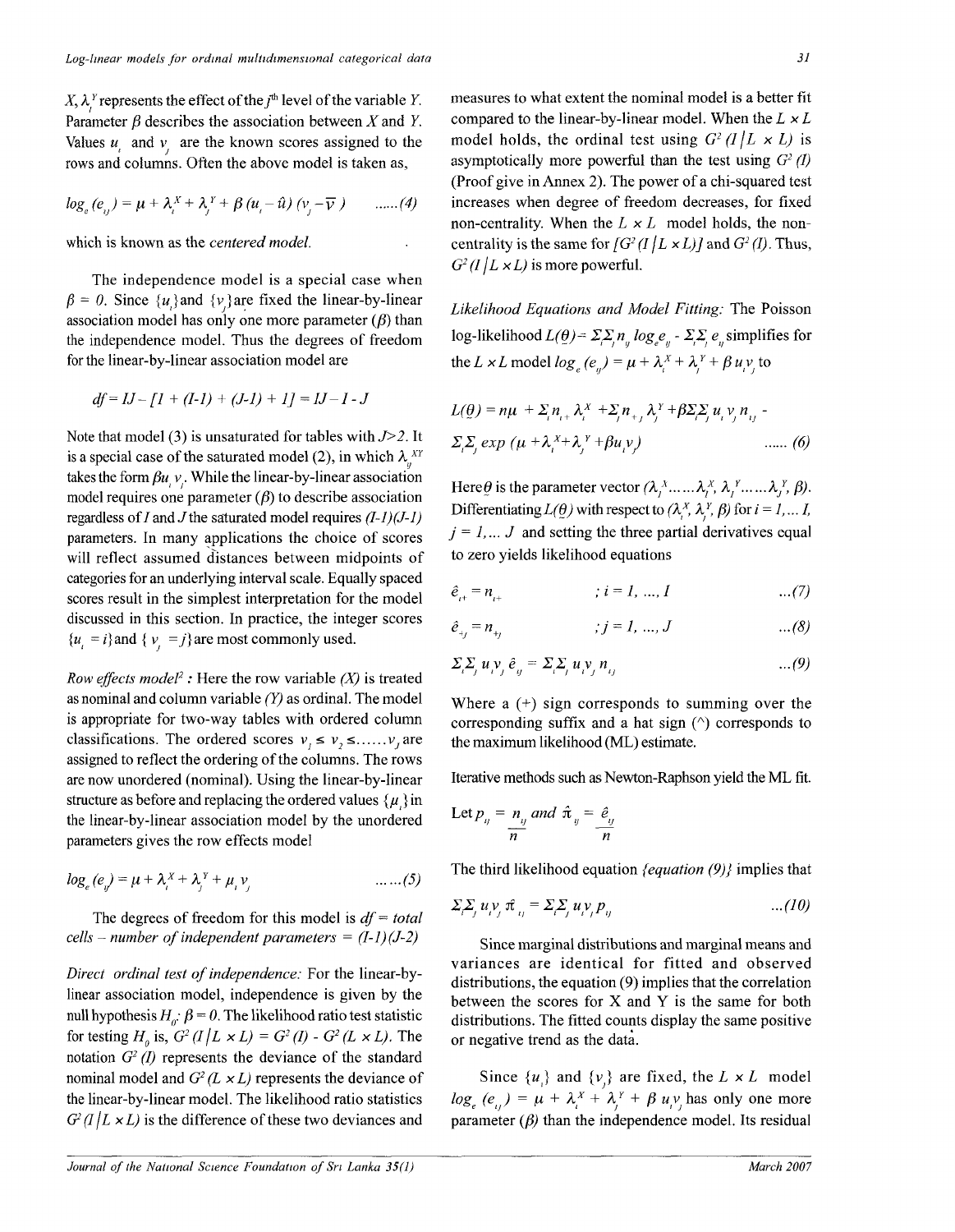$X, \lambda^Y$  represents the effect of the  $j^{\text{th}}$  level of the variable Y. Parameter  $\beta$  describes the association between X and Y. Values  $u_1$  and  $v_2$  are the known scores assigned to the rows and columns. Often the above model is taken as,

$$
\log_e(e_{ij}) = \mu + \lambda_i^X + \lambda_j^Y + \beta (u_i - \hat{u}) (v_j - \overline{v}) \qquad \dots (4)
$$

which is known as the *centered model*.

The independence model is a special case when  $\beta = 0$ . Since  $\{u\}$  and  $\{v\}$  are fixed the linear-by-linear association model has only one more parameter  $(\beta)$  than the independence model. Thus the degrees of freedom for the linear-by-linear association model are

$$
df = IJ - [I + (I-1) + (J-1) + I] = IJ - I - J
$$

Note that model (3) is unsaturated for tables with *J>2.* It is a special case of the saturated model (2), in which  $\lambda$ <sup>*XY*</sup> takes the form  $\beta u$ ,  $v$ . While the linear-by-linear association model requires one parameter  $(\beta)$  to describe association regardless of *I* and *J* the saturated model requires  $(I-1)(J-1)$ parameters. In many applications the choice of scores will reflect assumed distances between midpoints of categories for an underlying interval scale. Equally spaced scores result in the simplest interpretation for the model discussed in this section. In practice, the integer scores  ${u_{i} = i}$  and  ${v_{i} = j}$  are most commonly used.

*Row effects model<sup>2</sup>* : Here the row variable  $(X)$  is treated as nominal and column variable *(Y)* as ordinal. The model is appropriate for two-way tables with ordered column classifications. The ordered scores  $v_i \le v_j \le \ldots \ldots \ldots v_i$  are assigned to reflect the ordering of the columns. The rows are now unordered (nominal). Using the linear-by-linear structure as before and replacing the ordered values  $\{\mu\}$  in the linear-by-linear association model by the unordered parameters gives the row effects model

$$
log_e (e_y) = \mu + \lambda_i^X + \lambda_j^Y + \mu_i v_j \qquad \qquad \dots \dots (5)
$$

The degrees of freedom for this model is  $df = total$ *cells - number of independent parameters = (I-l)(J-2)* 

*Direct ordinal test of independence:* For the linear-bylinear association model, independence is given by the null hypothesis  $H_a$ :  $\beta = 0$ . The likelihood ratio test statistic for testing  $H_0$  is,  $G^2$  (*I* | *L* × *L*) =  $G^2$  (*I*) -  $G^2$  (*L* × *L*). The notation  $G^2$  (*I)* represents the deviance of the standard nominal model and  $G^2(L \times L)$  represents the deviance of the linear-by-linear model. The likelihood ratio statistics  $G^2$  (I | L  $\times$  L) is the difference of these two deviances and

measures to what extent the nominal model is a better fit compared to the linear-by-linear model. When the *L x L*  model holds, the ordinal test using  $G^2$  (1/L x L) is asymptotically more powerful than the test using  $G^2$  (I) (Proof give in Annex 2). The power of a chi-squared test increases when degree of freedom decreases, for fixed non-centrality. When the *L x L* model holds, the noncentrality is the same for  $[G<sup>2</sup>(I | L \times L)]$  and  $G<sup>2</sup>(I)$ . Thus,  $G<sup>2</sup>(I/L \times L)$  is more powerful.

*Likelihood Equations and Model Fitting:* The Poisson log-likelihood  $L(\theta) = \sum_i p_n \log_e e_n - \sum_i \sum_i e_i$  simplifies for the *L* × *L* model  $log_e(e_a) = \mu + \lambda_i^X + \lambda_i^Y + \beta u_i v_i$  to

$$
L(\underline{\theta}) = n\mu + \sum_{i} n_{i+} \lambda_{i}^{x} + \sum_{j} n_{+j} \lambda_{j}^{y} + \beta \sum_{i} \sum_{j} u_{i} v_{j} n_{ij} -
$$
  

$$
\sum_{i} \sum_{j} \exp \left(\mu + \lambda_{i}^{x} + \lambda_{j}^{y} + \beta u_{i} v_{j}\right) \qquad ...... (6)
$$

Here  $\theta$  is the parameter vector  $(\lambda_1^x, \dots, \lambda_j^x, \lambda_j^x, \dots, \lambda_j^x, \beta)$ . Differentiating  $L(\theta)$  with respect to  $(\lambda_i^X, \lambda_j^Y, \beta)$  for  $i = 1, \dots, I$ ,  $j = 1, \ldots, J$  and setting the three partial derivatives equal to zero yields likelihood equations

$$
\hat{e}_{i+} = n_{i+} \qquad \qquad ; \ i = 1, \ \ldots, I \qquad \qquad \ldots (7)
$$

$$
\hat{e}_{+j} = n_{+j} \qquad j = 1, ..., J \qquad ...(8)
$$

$$
\Sigma_i \Sigma_j u_i v_j \hat{e}_{ij} = \Sigma_i \Sigma_j u_i v_j n_{ij} \qquad \qquad \dots (9)
$$

Where a  $(+)$  sign corresponds to summing over the corresponding suffix and a hat sign  $(^\wedge)$  corresponds to the maximum likelihood (ML) estimate.

Iterative methods such as Newton-Raphson yield the ML fit.

Let 
$$
p_{ij} = n_{ij}
$$
 and  $\hat{\pi}_{ij} = \frac{\hat{e}_{ij}}{n}$ 

The third likelihood equation *{equation (9)}* implies that

$$
\Sigma_i \Sigma_j u_i v_j \hat{\pi}_{ij} = \Sigma_i \Sigma_j u_i v_j p_{ij} \qquad \qquad \dots (10)
$$

Since marginal distributions and marginal means and variances are identical for fitted and observed distributions, the equation (9) implies that the correlation between the scores for X and Y is the same for both distributions. The fitted counts display the same positive or negative trend as the data.

Since  $\{u_i\}$  and  $\{v_i\}$  are fixed, the  $L \times L$  model  $log_e(e_i) = \mu + \lambda_i^x + \lambda_i^y + \beta u_i^y$  has only one more parameter  $(\beta)$  than the independence model. Its residual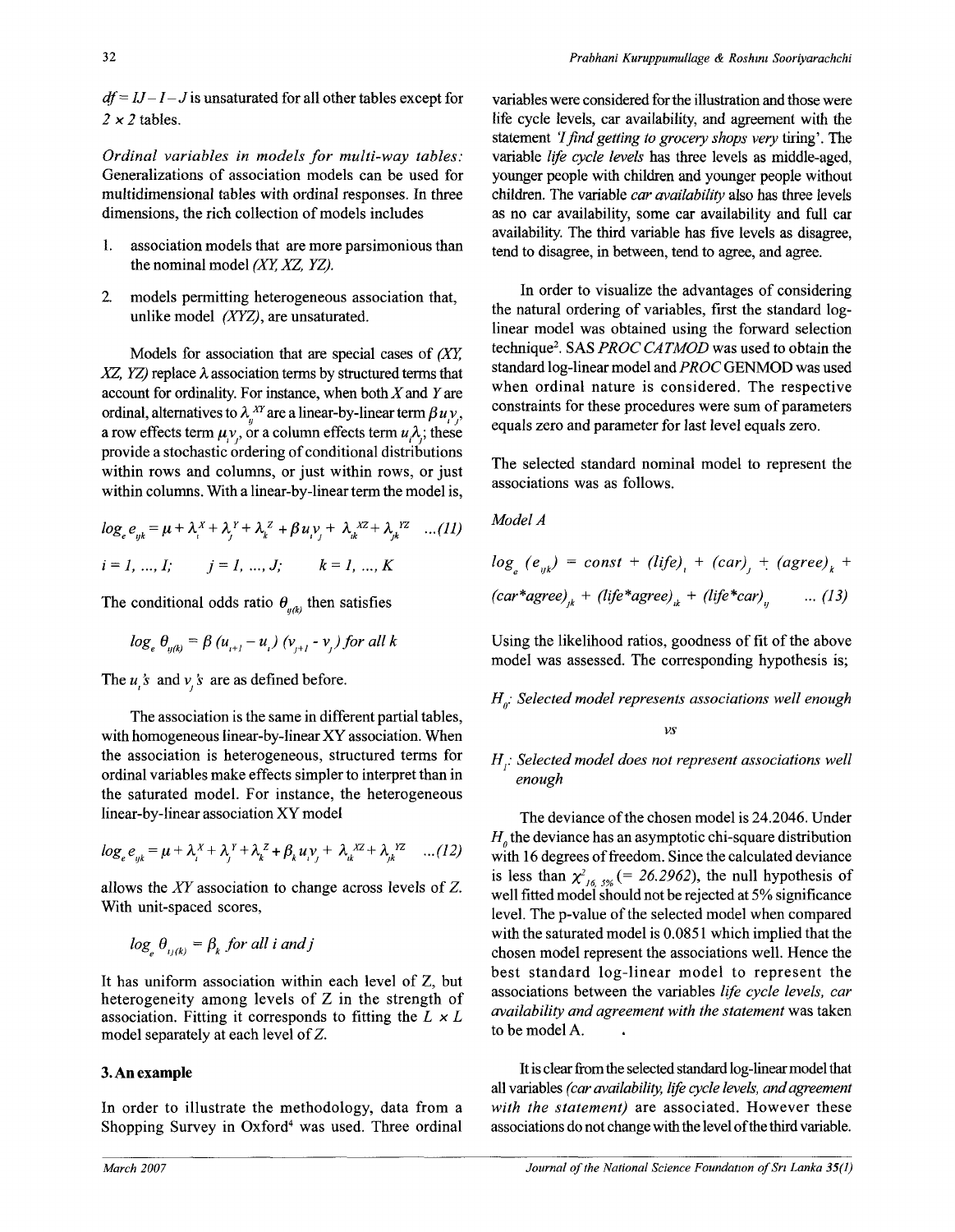$df = IJ - I - J$  is unsaturated for all other tables except for  $2 \times 2$  tables.

*Ordinal variables in models for multi-way tables:*  Generalizations of association models can be used for multidimensional tables with ordinal responses. In three dimensions, the rich collection of models includes

- 1. association models that are more parsimonious than the nominal model *(XY, XZ, YZ).*
- *2.* models permitting heterogeneous association that, unlike model *(XYZ),* are unsaturated.

Models for association that are special cases of *(XY,*   $XZ$ ,  $YZ$ ) replace  $\lambda$  association terms by structured terms that account for ordinality. For instance, when both  $X$  and  $Y$  are ordinal, alternatives to  $\lambda_n^{XY}$  are a linear-by-linear term  $\beta u_y$ , a row effects term  $\mu$ <sub>*y*</sub>, or a column effects term  $u$ <sub> $\lambda$ ; these</sub> provide a stochastic ordering of conditional distributions within rows and columns, or just within rows, or just within columns. With a linear-by-linear term the model is,

$$
log_e e_{yk} = \mu + \lambda_i^X + \lambda_j^Y + \lambda_k^Z + \beta u_i v_j + \lambda_k^{XZ} + \lambda_k^{YZ} \dots (11)
$$
  
\n $i = 1, ..., 1; \quad j = 1, ..., J; \quad k = 1, ..., K$ 

The conditional odds ratio  $\theta_{u(k)}$  then satisfies

$$
log_e \theta_{y(k)} = \beta (u_{i+1} - u_i) (v_{j+1} - v_j)
$$
 for all k

The  $u_i$ 's and  $v_i$ 's are as defined before.

**' J** 

The association is the same in different partial tables, with homogeneous linear-by-linear XY association. When the association is heterogeneous, structured terms for ordinal variables make effects simpler to interpret than in the saturated model. For instance, the heterogeneous linear-by-linear association XY model

$$
log_e e_{yk} = \mu + \lambda_i^X + \lambda_j^Y + \lambda_k^Z + \beta_k u_i v_j + \lambda_k^{XZ} + \lambda_k^{YZ} \dots (12)
$$

allows the *XY* association to change across levels of Z. With unit-spaced scores,

$$
\log_{\alpha} \theta_{\mu(k)} = \beta_k \text{ for all } i \text{ and } j
$$

It has uniform association within each level of Z, but heterogeneity among levels of Z in the strength of association. Fitting it corresponds to fitting the *L x L*  model separately at each level of Z.

### **3. An example**

In order to illustrate the methodology, data from a Shopping Survey in Oxford<sup>4</sup> was used. Three ordinal variables were considered for the illustration and those were life cycle levels, car availability, and agreement with the statement *T find getting to grocery shops very* tiring'. The variable *life cycle levels* has three levels as middle-aged, younger people with children and younger people without children. The variable *car availability* also has three levels as no car availability, some car availability and full car availability. The third variable has five levels as disagree, tend to disagree, in between, tend to agree, and agree.

In order to visualize the advantages of considering the natural ordering of variables, first the standard loglinear model was obtained using the forward selection technique<sup>2</sup> . SAS *PROC CATMOD* was used to obtain the standard log-linear model and *PROC* GENMOD was used when ordinal nature is considered. The respective constraints for these procedures were sum of parameters equals zero and parameter for last level equals zero.

The selected standard nominal model to represent the associations was as follows.

*Model A* 

$$
log_e (e_{yk}) = const + (life)_{i} + (car)_{j} + (agree)_{k} + (car*agree)_{ik} + (life*agree)_{ik} + (life*car)_{ij} \qquad ... (13)
$$

Using the likelihood ratios, goodness of fit of the above model was assessed. The corresponding hypothesis is;

### *HQ: Selected model represents associations well enough*

*vs* 

### *H: Selected model does not represent associations well enough*

The deviance of the chosen model is 24.2046. Under  $H<sub>a</sub>$  the deviance has an asymptotic chi-square distribution with 16 degrees of freedom. Since the calculated deviance is less than  $\chi^2$ <sup>16</sup>  $\chi^2$ <sup>16</sup>  $\chi^2$ <sup>6</sup> (= 26.2962), the null hypothesis of well fitted model should not be rejected at 5% significance level. The p-value of the selected model when compared with the saturated model is 0.0851 which implied that the chosen model represent the associations well. Hence the best standard log-linear model to represent the associations between the variables *life cycle levels, car availability and agreement with the statement* was taken to be model A.

It is clear from the selected standard log-linear model that all variables *(car availability, life cycle levels, and agreement with the statement)* are associated. However these associations do not change with the level of the third variable.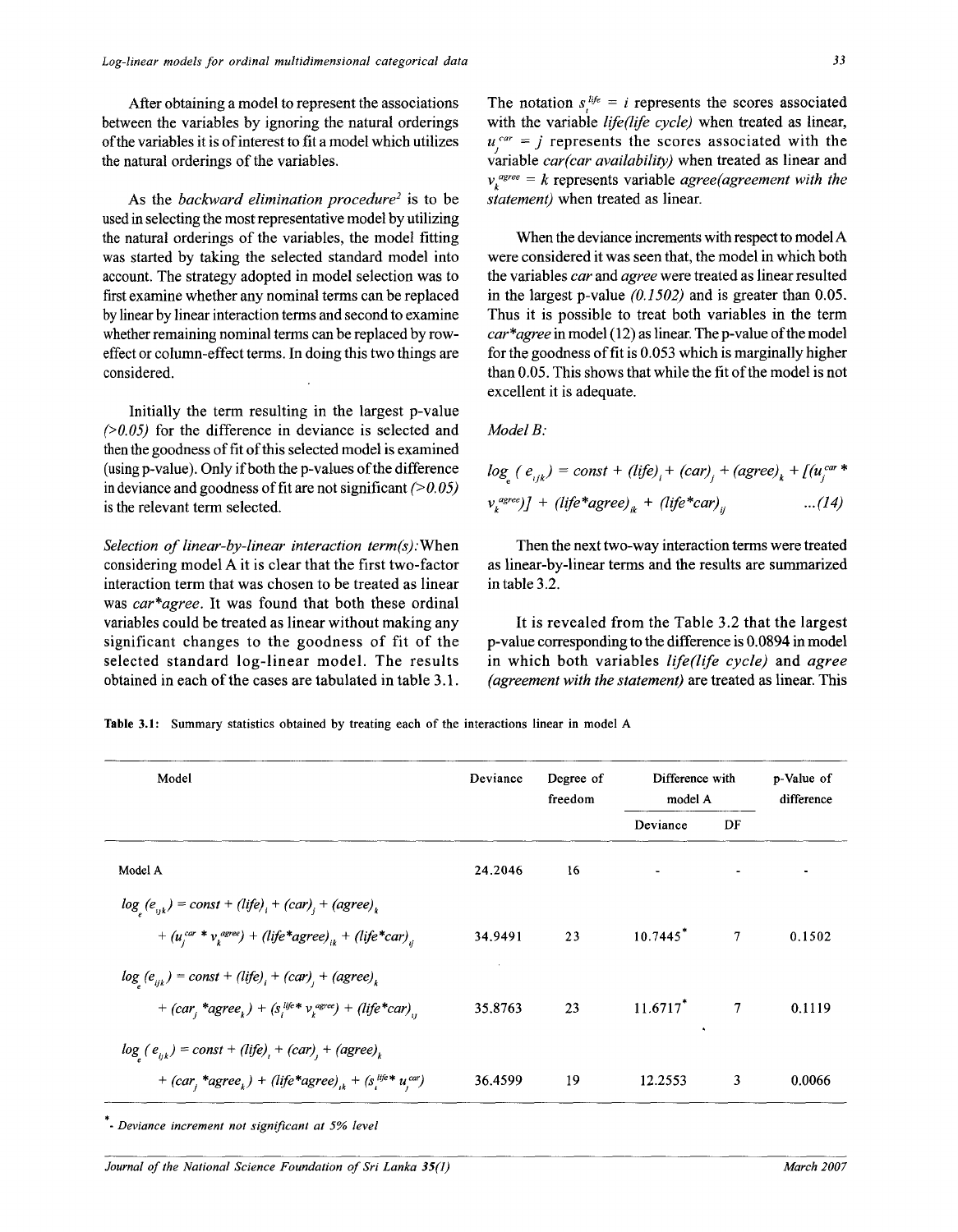After obtaining a model to represent the associations between the variables by ignoring the natural orderings of the variables it is of interest to fit a model which utilizes the natural orderings of the variables.

As the *backward elimination procedure<sup>2</sup>* is to be used in selecting the most representative model by utilizing the natural orderings of the variables, the model fitting was started by taking the selected standard model into account. The strategy adopted in model selection was to first examine whether any nominal terms can be replaced by linear by linear interaction terms and second to examine whether remaining nominal terms can be replaced by roweffect or column-effect terms. In doing this two things are considered.

Initially the term resulting in the largest p-value *(>0.05)* for the difference in deviance is selected and then the goodness of fit of this selected model is examined (using p-value). Only if both the p-values of the difference in deviance and goodness of fit are not significant *(>0.05)*  is the relevant term selected.

*Selection of linear-by-linear interaction term(s):*When considering model A it is clear that the first two-factor interaction term that was chosen to be treated as linear was *car\*agree.* It was found that both these ordinal variables could be treated as linear without making any significant changes to the goodness of fit of the selected standard log-linear model. The results obtained in each of the cases are tabulated in table 3.1.

The notation  $s_i^{i j e} = i$  represents the scores associated with the variable *life(life cycle)* when treated as linear,  $u_i^{car} = j$  represents the scores associated with the variable *car(car availability)* when treated as linear and  $v<sub>i</sub><sup>agree</sup> = k$  represents variable *agree(agreement with the statement)* when treated as linear.

When the deviance increments with respect to model A were considered it was seen that, the model in which both the variables *car* and *agree* were treated as linear resulted in the largest p-value *(0.1502)* and is greater than 0.05. Thus it is possible to treat both variables in the term *car \* agree* in model (12) as linear. The p-value of the model for the goodness of fit is 0.053 which is marginally higher than 0.05. This shows that while the fit of the model is not excellent it is adequate.

#### *Model B:*

$$
log_e (e_{ijk}) = const + (life)_i + (car)_j + (agree)_k + [(u_j^{car} * v_k^{agree})] + (life * agree)_{ik} + (life * car)_{ij}
$$
...(14)

Then the next two-way interaction terms were treated as linear-by-linear terms and the results are summarized in table 3.2.

It is revealed from the Table 3.2 that the largest p-value corresponding to the difference is 0.0894 in model in which both variables *life(life cycle)* and *agree (agreement with the statement)* are **treated** as **linear. This** 

Table 3.1: Summary statistics obtained by treating each of the interactions linear in model A

| Model                                                                                                                                                   | Deviance | Degree of<br>freedom | Difference with<br>model A |                | p-Value of<br>difference |  |
|---------------------------------------------------------------------------------------------------------------------------------------------------------|----------|----------------------|----------------------------|----------------|--------------------------|--|
|                                                                                                                                                         |          |                      | Deviance                   | DF             |                          |  |
| Model A                                                                                                                                                 | 24.2046  | 16                   |                            |                |                          |  |
| $log (e_{ijk}) = const + (life)_{i} + (car)_{i} + (agree)_{k}$<br>+ $(u_i^{car} * v_i^{agree})$ + (life*agree) <sub>ik</sub> + (life*car) <sub>ii</sub> | 34.9491  | 23                   | $10.7445$ <sup>*</sup>     | 7              | 0.1502                   |  |
| $log (e_{ijk}) = const + (life)_{i} + (car)_{i} + (agree)_{k}$<br>+ $(car_i *agree_k) + (s_i^{life} * v_k^{agree}) + (life * car)$                      | 35.8763  | 23                   | $11.6717$ <sup>*</sup>     | $\overline{7}$ | 0.1119                   |  |
| $log_{1}(e_{ijk}) = const + (life)_{i} + (car)_{i} + (agree)_{k}$<br>+ $(car_i * agree_k)$ + $(life * agree)_{ik}$ + $(s_i^{life} * u_i^{car})$         | 36.4599  | 19                   | 12.2553                    | 3              | 0.0066                   |  |

• *Deviance increment not significant at 5% level* 

*Journal of the National Science Foundation of Sri Lanka 35(1)* March 2007 **March 2007**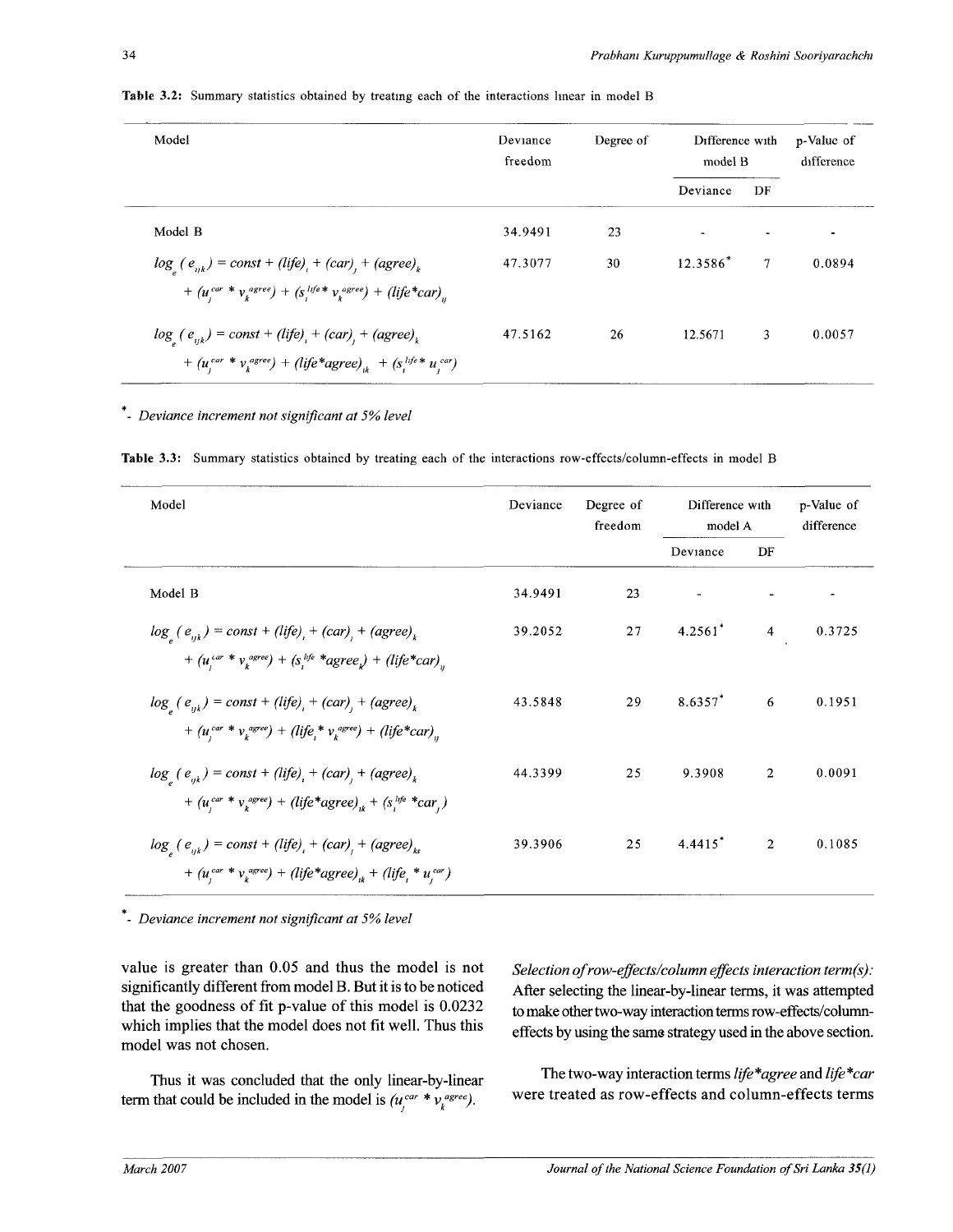| Model                                                                                                                                                                                        | Deviance<br>freedom | Degree of | Difference with<br>model B |    | p-Value of<br>difference |
|----------------------------------------------------------------------------------------------------------------------------------------------------------------------------------------------|---------------------|-----------|----------------------------|----|--------------------------|
|                                                                                                                                                                                              |                     |           | Deviance                   | DF |                          |
| Model B                                                                                                                                                                                      | 34.9491             | 23        |                            |    | $\overline{\phantom{a}}$ |
| $log_{l}(e_{ijk}) = const + (life)_{l} + (car)_{l} + (agree)_{k}$<br>+ $(u_i^{car} * v_i^{agree}) + (s_i^{life} * v_i^{agree}) + (life * car)_n$                                             | 47.3077             | 30        | $12.3586*$                 | 7  | 0.0894                   |
| $log_{x}$ (e <sub>uk</sub> ) = const + (life) <sub>1</sub> + (car) <sub>1</sub> + (agree) <sub>k</sub><br>+ $(u_i^{car} * v_i^{agree})$ + $(life * agree)_{ii}$ + $(s_i^{life} * u_i^{car})$ | 47.5162             | 26        | 12.5671                    | 3  | 0.0057                   |

**Table 3.2:** Summary statistics obtained by treating each of the interactions linear in model B

*Deviance increment not significant at 5% level* 

**Table** 3.3: Summary statistics obtained by treating each of the interactions row-effects/column-effects in model B

| Model                                                                                                                                                | Deviance | Degree of<br>freedom |            | Difference with<br>model A |        |
|------------------------------------------------------------------------------------------------------------------------------------------------------|----------|----------------------|------------|----------------------------|--------|
|                                                                                                                                                      |          |                      | Deviance   | DF                         |        |
| Model B                                                                                                                                              | 34.9491  | 23                   |            |                            |        |
| $log_{1}(e_{ijk}) = const + (life)_{i} + (car)_{j} + (agree)_{k}$<br>+ $(u_i^{car} * v_k^{agree})$ + $(s_i^{life} * agree_i)$ + $(life * car)_n$     | 39.2052  | 27                   | $4.2561^*$ | $\overline{4}$             | 0.3725 |
| $log_{a}(e_{ijk}) = const + (life)_{i} + (car)_{j} + (agree)_{k}$<br>+ $(u_i^{car} * v_i^{agree})$ + $(life_i * v_i^{agree})$ + $(life * car)_{ii}$  | 43.5848  | 29                   | $8.6357$ * | 6                          | 0.1951 |
| $log_{e} (e_{ijk}) = const + (life)_{i} + (car)_{j} + (agree)_{k}$<br>+ $(u_i^{car} * v_k^{agree})$ + $(life * agree)_{ik}$ + $(s_i^{life} * car_i)$ | 44.3399  | 25                   | 9.3908     | $\overline{2}$             | 0.0091 |
| $log_{1}(e_{nk}) = const + (life)_{i} + (car)_{i} + (agree)_{ks}$<br>+ $(u_i^{car} * v_k^{agree})$ + $(life * agree)_{ik}$ + $(life_i * u_i^{car})$  | 39.3906  | 25                   | $4.4415*$  | $\overline{2}$             | 0.1085 |

- *Deviance increment not significant at 5% level* 

value is greater than 0.05 and thus the model is not significantly different from model B. But it is to be noticed that the goodness of fit p-value of this model is  $0.0232$ which implies that the model does not fit well. Thus this model was not chosen.

Thus it was concluded that the only linear-by-linear term that could be included in the model is  $(u_i^{car} * v_k^{agree})$ .

*Selection of row-effects/column effects interaction term(s):*  After selecting the linear-by-linear terms, it was attempted to make other two-way interaction terms row-effects/columneffects by using the same strategy used in the above section.

The two-way interaction terms *life\*agree* and *life\*car*  were treated as row-effects and column-effects terms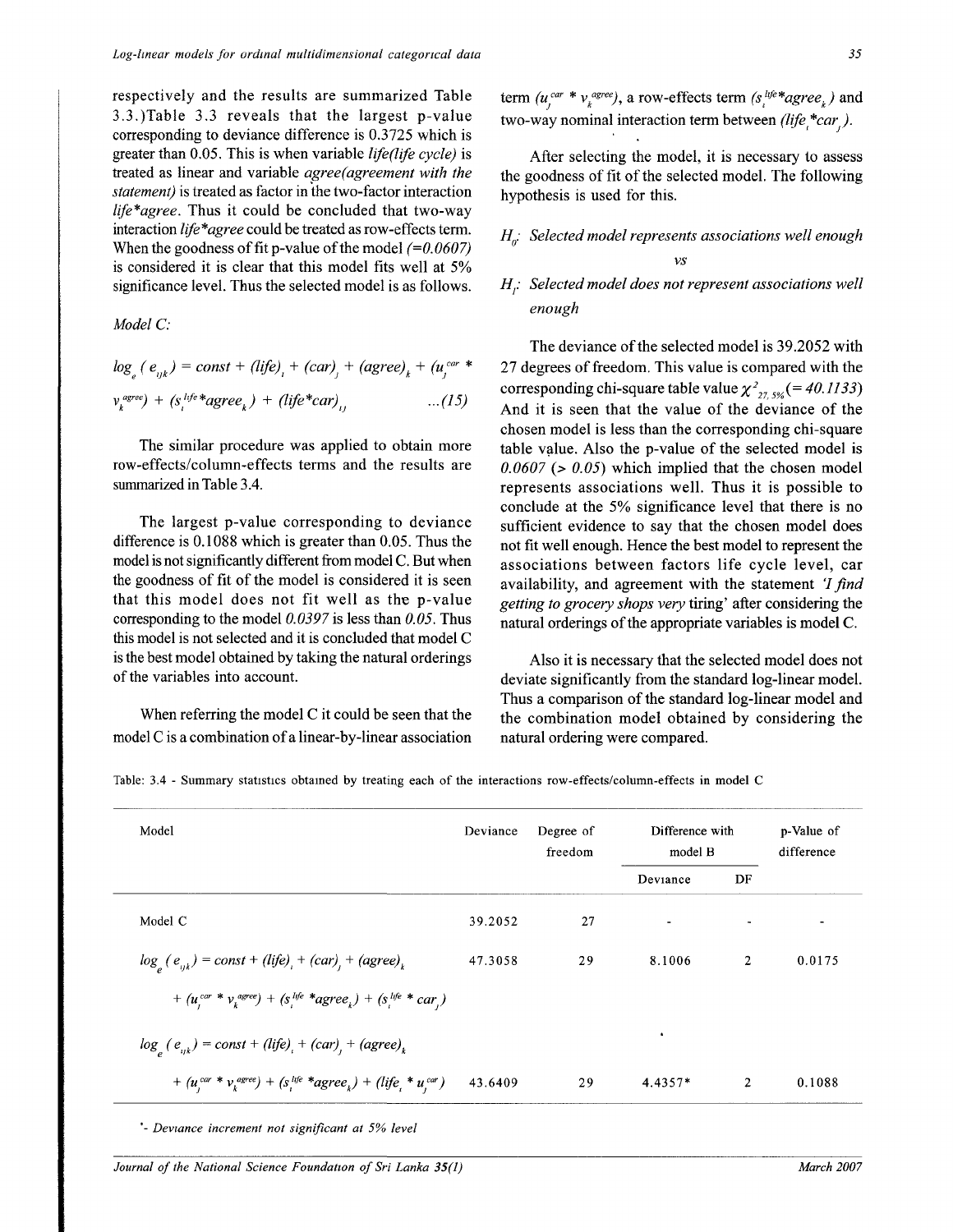respectively and the results are summarized Table 3.3.)Table 3.3 reveals that the largest p-value corresponding to deviance difference is 0.3725 which is greater than 0.05. This is when variable *lifeflife cycle)* is treated as linear and variable *agree(agreement with the statement)* is treated as factor in the two-factor interaction *life\*agree.* Thus it could be concluded that two-way interaction *life\*agree* could be treated as row-effects term. When the goodness of fit p-value of the model *(=0.0607)*  is considered it is clear that this model fits well at 5% significance level. Thus the selected model is as follows.

*Model C:* 

$$
log_e (e_{ijk}) = const + (life)_i + (car)_j + (agree)_k + (u_j^{car} * v_k^{agree}) + (s_i^{life} * agree_k) + (life * car)_i, \qquad ...(15)
$$

The similar procedure was applied to obtain more row-effects/column-effects terms and the results are summarized in Table 3.4.

The largest p-value corresponding to deviance difference is 0.1088 which is greater than 0.05. Thus the model is not significantly different from model C. But when the goodness of fit of the model is considered it is seen that this model does not fit well as the p-value corresponding to the model *0.0397* is less than *0.05.* Thus this model is not selected and it is concluded that model C is the best model obtained by taking the natural orderings of the variables into account.

When referring the model C it could be seen that the model C is a combination of a linear-by-linear association

term  $(u_i^{car} * v_k^{agree})$ , a row-effects term  $(s_i^{life} * agree_k)$  and two-way nominal interaction term between (life \*car).

After selecting the model, it is necessary to assess the goodness of fit of the selected model. The following hypothesis is used for this.

# *HQ: Selected model represents associations well enough vs*

# *H}: Selected model does not represent associations well enough*

The deviance of the selected model is 39.2052 with 27 degrees of freedom. This value is compared with the corresponding chi-square table value  $\chi^2_{27.5\%}(=40.1133)$ And it is seen that the value of the deviance of the chosen model is less than the corresponding chi-square table value. Also the p-value of the selected model is  $0.0607$  ( $> 0.05$ ) which implied that the chosen model represents associations well. Thus it is possible to conclude at the 5% significance level that there is no sufficient evidence to say that the chosen model does not fit well enough. Hence the best model to represent the associations between factors life cycle level, car availability, and agreement with the statement *'I find getting to grocery shops very* tiring' after considering the natural orderings of the appropriate variables is model C.

Also it is necessary that the selected model does not deviate significantly from the standard log-linear model. Thus a comparison of the standard log-linear model and the combination model obtained by considering the natural ordering were compared.

Table: 3.4 - Summary statistics obtained by treating each of the interactions row-effects/column-effects in model C

| Model                                                                             | Deviance | Degree of<br>freedom | Difference with<br>model B |                | p-Value of<br>difference |
|-----------------------------------------------------------------------------------|----------|----------------------|----------------------------|----------------|--------------------------|
|                                                                                   |          |                      | Deviance                   | DF             |                          |
| Model C                                                                           | 39.2052  | 27                   | ٠                          | $\blacksquare$ | $\overline{\phantom{a}}$ |
| $loga(eijk) = const + (life)i + (car)j + (agree)k$                                | 47.3058  | 29                   | 8.1006                     | $\overline{2}$ | 0.0175                   |
| + $(u_i^{car} * v_k^{agree})$ + $(s_i^{life} * agree_k)$ + $(s_i^{life} * car_j)$ |          |                      |                            |                |                          |
| $log_{e}(e_{ijk}) = const + (life)_{i} + (car)_{j} + (agree)_{k}$                 |          |                      | $\bullet$                  |                |                          |
| + $(u_i^{car} * v_k^{agree})$ + $(s_i^{life} * agree_k)$ + $(life_i * u_i^{car})$ | 43.6409  | 29                   | $4.4357*$                  | $\overline{2}$ | 0.1088                   |

\*- *Deviance increment not significant at 5% level* 

*Journal of the National Science Foundation of Sri Lanka 35(1)* March 2007 **March 2007** *March 2007*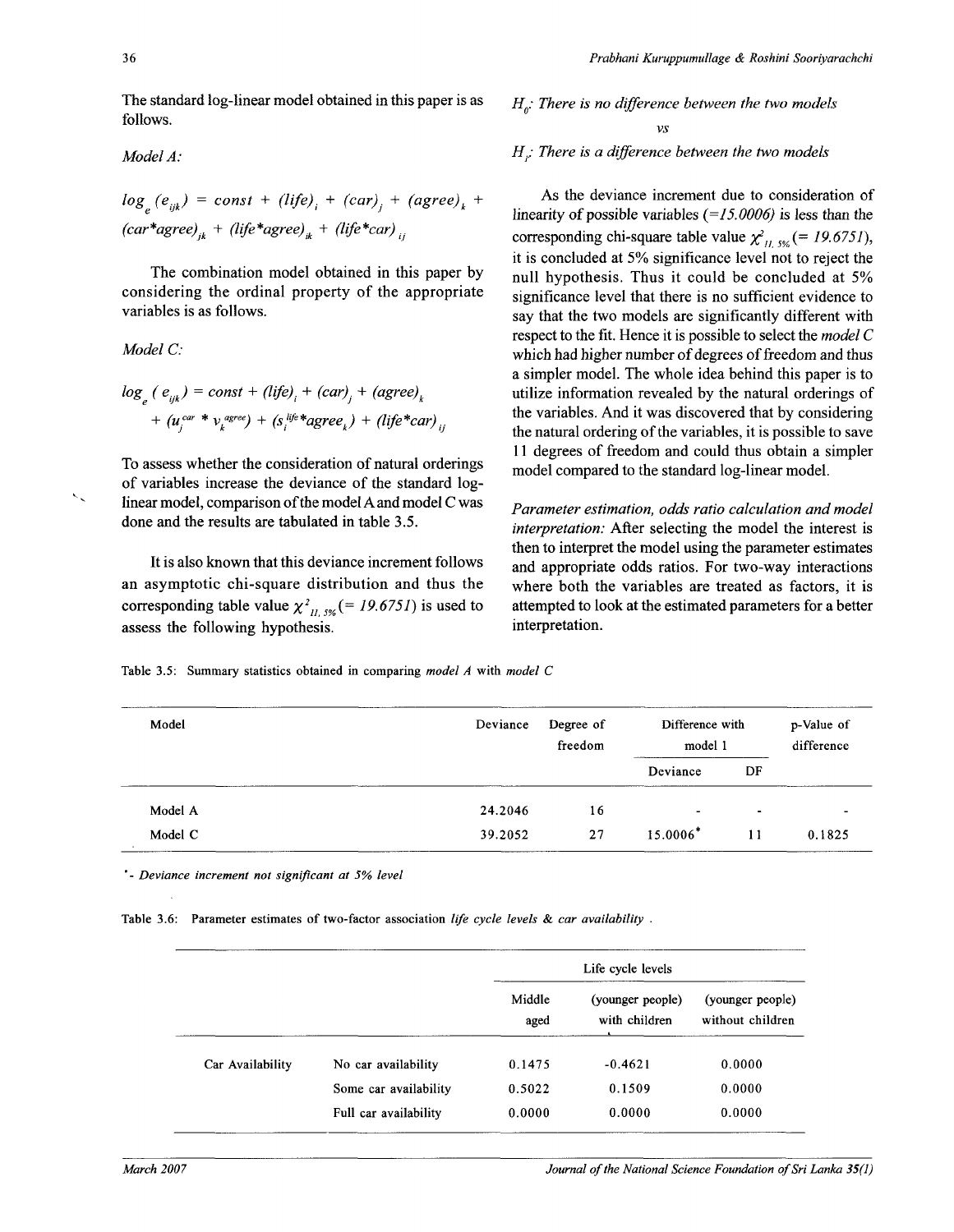*Model A:* 

The standard log-linear model obtained in this paper is as follows.

Model A:  
\n
$$
log_e(e_{ijk}) = const + (life)_{i} + (car)_{j} + (agree)_{k} + (car*agree)_{ik} + (life*agree)_{ik} + (life*car)_{ij}
$$

The combination model obtained in this paper by considering the ordinal property of the appropriate variables is as follows.

Model C:  
\n
$$
\log_e (e_{ijk}) = \text{const} + (life)_i + (\text{car})_j + (\text{agree})_k + (u_i^{car} * v_i^{agree}) + (s_i^{life} * \text{agree}_k) + (life * \text{car})_{ii}
$$

To assess whether the consideration of natural orderings of variables increase the deviance of the standard loglinear model, comparison of the model A and model C was done and the results are tabulated in table 3.5.

It is also known that this deviance increment follows an asymptotic chi-square distribution and thus the corresponding table value  $\chi^2$ <sup>1</sup> m/<sub>2%</sub> (= 19.6751) is used to assess the following hypothesis.

 $H_p$ *: There is no difference between the two models* 

*vs* 

*H<sub>i</sub>: There is a difference between the two models* 

As the deviance increment due to consideration of linearity of possible variables *(=15.0006)* is less than the corresponding chi-square table value  $\chi^2_{U, 5\%}$  (= 19.6751), it is concluded at 5% significance level not to reject the null hypothesis. Thus it could be concluded at 5% significance level that there is no sufficient evidence to say that the two models are significantly different with respect to the fit. Hence it is possible to select the *model C*  which had higher number of degrees of freedom and thus a simpler model. The whole idea behind this paper is to utilize information revealed by the natural orderings of the variables. And it was discovered that by considering the natural ordering of the variables, it is possible to save 11 degrees of freedom and could thus obtain a simpler model compared to the standard log-linear model.

*Parameter estimation, odds ratio calculation and model interpretation:* After selecting the model the interest is then to interpret the model using the parameter estimates and appropriate odds ratios. For two-way interactions where both the variables are treated as factors, it is attempted to look at the estimated parameters for a better interpretation.

Table 3.5: Summary statistics obtained in comparing *model A* with *model C* 

| Model   | Deviance | Degree of<br>freedom | Difference with<br>model 1 |           | p-Value of<br>difference |
|---------|----------|----------------------|----------------------------|-----------|--------------------------|
|         |          |                      | Deviance                   | DF        |                          |
| Model A | 24.2046  | 16                   | $\overline{\phantom{a}}$   | $\bullet$ |                          |
| Model C | 39.2052  | 27                   | 15.0006*                   | 11        | 0.1825                   |

*Deviance increment not significant at 5% level* 

Table 3.6: Parameter estimates of two-factor association *life cycle levels & car availability .* 

|                  |                       | Life cycle levels |                                   |                                      |  |
|------------------|-----------------------|-------------------|-----------------------------------|--------------------------------------|--|
|                  |                       | Middle<br>aged    | (younger people)<br>with children | (younger people)<br>without children |  |
| Car Availability | No car availability   | 0.1475            | $-0.4621$                         | 0.0000                               |  |
|                  | Some car availability | 0.5022            | 0.1509                            | 0.0000                               |  |
|                  | Full car availability | 0.0000            | 0.0000                            | 0.0000                               |  |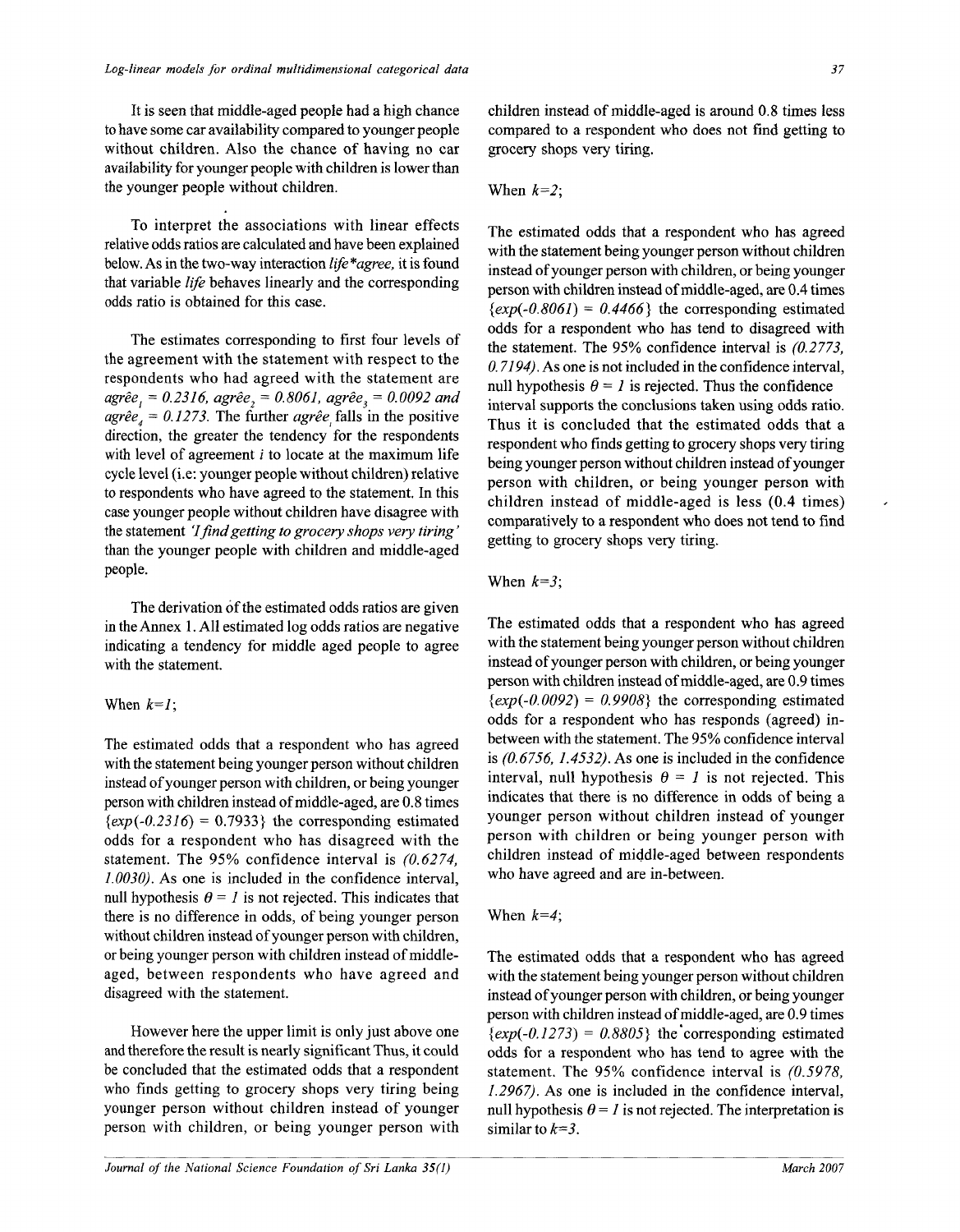It is seen that middle-aged people had a high chance to have some car availability compared to younger people without children. Also the chance of having no car availability for younger people with children is lower than the younger people without children.

To interpret the associations with linear effects relative odds ratios are calculated and have been explained below. As in the two-way interaction *life\*agree,* it is found that variable *life* behaves linearly and the corresponding odds ratio is obtained for this case.

The estimates corresponding to first four levels of the agreement with the statement with respect to the respondents who had agreed with the statement are *agree j = 0.2316, agree2* = *0.8061, agree3 = 0.0092 and*   $a\text{gr\^e}e_4 = 0.1273$ . The further  $a\text{gr\^e}e_i$  falls in the positive direction, the greater the tendency for the respondents with level of agreement *i* to locate at the maximum life cycle level (i.e: younger people without children) relative to respondents who have agreed to the statement. In this case younger people without children have disagree with the statement *'I find getting to grocery shops very tiring'*  than the younger people with children and middle-aged people.

The derivation of the estimated odds ratios are given in the Annex 1. All estimated log odds ratios are negative indicating a tendency for middle aged people to agree with the statement.

### When  $k=1$ ;

The estimated odds that a respondent who has agreed with the statement being younger person without children instead of younger person with children, or being younger person with children instead of middle-aged, are 0.8 times  $\{exp(-0.2316) = 0.7933\}$  the corresponding estimated odds for a respondent who has disagreed with the statement. The 95% confidence interval is *(0.6274, 1.0030).* As one is included in the confidence interval, null hypothesis  $\theta = I$  is not rejected. This indicates that there is no difference in odds, of being younger person without children instead of younger person with children, or being younger person with children instead of middleaged, between respondents who have agreed and disagreed with the statement.

However here the upper limit is only just above one and therefore the result is nearly significant Thus, it could be concluded that the estimated odds that a respondent who finds getting to grocery shops very tiring being younger person without children instead of younger person with children, or being younger person with children instead of middle-aged is around 0.8 times less compared to a respondent who does not find getting to grocery shops very tiring.

### When *k=2;*

The estimated odds that a respondent who has agreed with the statement being younger person without children instead of younger person with children, or being younger person with children instead of middle-aged, are 0.4 times  $\{exp(-0.8061) = 0.4466\}$  the corresponding estimated odds for a respondent who has tend to disagreed with the statement. The 95% confidence interval is *(0.2773, 0.7194). As* one is not included in the confidence interval, null hypothesis  $\theta = I$  is rejected. Thus the confidence interval supports the conclusions taken using odds ratio. Thus it is concluded that the estimated odds that a respondent who finds getting to grocery shops very tiring being younger person without children instead of younger person with children, or being younger person with children instead of middle-aged is less (0.4 times) comparatively to a respondent who does not tend to find getting to grocery shops very tiring.

### When *k=3;*

The estimated odds that a respondent who has agreed with the statement being younger person without children instead of younger person with children, or being younger person with children instead of middle-aged, are 0.9 times  $\{exp(-0.0092) = 0.9908\}$  the corresponding estimated odds for a respondent who has responds (agreed) inbetween with the statement. The 95% confidence interval is *(0.6756, 1.4532).* As one is included in the confidence interval, null hypothesis  $\theta = I$  is not rejected. This indicates that there is no difference in odds of being a younger person without children instead of younger person with children or being younger person with children instead of middle-aged between respondents who have agreed and are in-between.

#### When *k=4;*

The estimated odds that a respondent who has agreed with the statement being younger person without children instead of younger person with children, or being younger person with children instead of middle-aged, are 0.9 times  $\{exp(-0.1273) = 0.8805\}$  the corresponding estimated odds for a respondent who has tend to agree with the statement. The 95% confidence interval is *(0.5978, 1.2967).* As one is included in the confidence interval, null hypothesis  $\theta = I$  is not rejected. The interpretation is similar to *k=3.*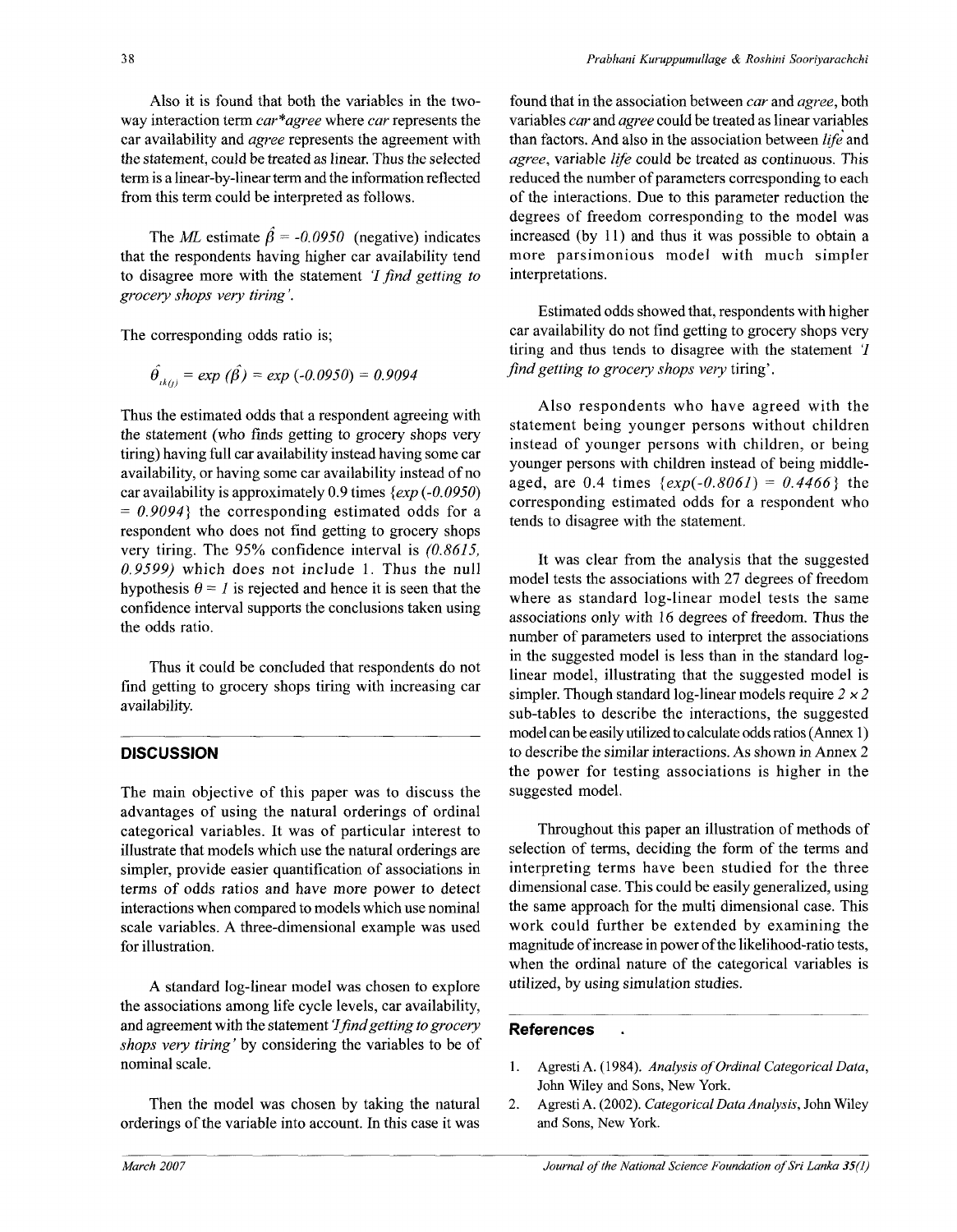The *ML* estimate  $\hat{\beta} = -0.0950$  (negative) indicates that the respondents having higher car availability tend to disagree more with the statement 7 *find getting to grocery shops very tiring'.* 

The corresponding odds ratio is;

$$
\hat{\theta}_{ik(j)} = exp(\hat{\beta}) = exp(-0.0950) = 0.9094
$$

Thus the estimated odds that a respondent agreeing with the statement (who finds getting to grocery shops very tiring) having full car availability instead having some car availability, or having some car availability instead of no car availability is approximately 0.9 times *{exp (-0.0950) = 0.9094}* the corresponding estimated odds for a respondent who does not find getting to grocery shops very tiring. The 95% confidence interval is *(0.8615, 0.9599)* which does not include 1. Thus the null hypothesis  $\theta = I$  is rejected and hence it is seen that the confidence interval supports the conclusions taken using the odds ratio.

Thus it could be concluded that respondents do not find getting to grocery shops tiring with increasing car availability.

# **DISCUSSION**

The main objective of this paper was to discuss the advantages of using the natural orderings of ordinal categorical variables. It was of particular interest to illustrate that models which use the natural orderings are simpler, provide easier quantification of associations in terms of odds ratios and have more power to detect interactions when compared to models which use nominal scale variables. A three-dimensional example was used for illustration.

A standard log-linear model was chosen to explore the associations among life cycle levels, car availability, and agreement with the statement *'1 find getting to grocery shops very tiring'* by considering the variables to be of nominal scale.

Then the model was chosen by taking the natural orderings of the variable into account. In this case it was found that in the association between *car* and *agree,* both variables *car* and *agree* could be treated as linear variables than factors. And also in the association between *life* and *agree,* variable *life* could be treated as continuous. This reduced the number of parameters corresponding to each of the interactions. Due to this parameter reduction the degrees of freedom corresponding to the model was increased (by 11) and thus it was possible to obtain a more parsimonious model with much simpler interpretations.

Estimated odds showed that, respondents with higher car availability do not find getting to grocery shops very tiring and thus tends to disagree with the statement T *find getting to grocery shops very* tiring'.

Also respondents who have agreed with the statement being younger persons without children instead of younger persons with children, or being younger persons with children instead of being middleaged, are 0.4 times *{exp(-0.8061)* = *0.4466}* the corresponding estimated odds for a respondent who tends to disagree with the statement.

It was clear from the analysis that the suggested model tests the associations with 27 degrees of freedom where as standard log-linear model tests the same associations only with 16 degrees of freedom. Thus the number of parameters used to interpret the associations in the suggested model is less than in the standard loglinear model, illustrating that the suggested model is simpler. Though standard log-linear models require  $2 \times 2$ sub-tables to describe the interactions, the suggested model can be easily utilized to calculate odds ratios (Annex 1) to describe the similar interactions. As shown in Annex 2 the power for testing associations is higher in the suggested model.

Throughout this paper an illustration of methods of selection of terms, deciding the form of the terms and interpreting terms have been studied for the three dimensional case. This could be easily generalized, using the same approach for the multi dimensional case. This work could further be extended by examining the magnitude of increase in power of the likelihood-ratio tests, when the ordinal nature of the categorical variables is utilized, by using simulation studies.

# References

 $\ddot{\phantom{a}}$ 

- 1. Agresti A. (1984). *Analysis of Ordinal Categorical Data,*  John Wiley and Sons, New York.
- *2.* Agresti A. (2002). *Categorical Data Analysis,* John Wiley and Sons, New York.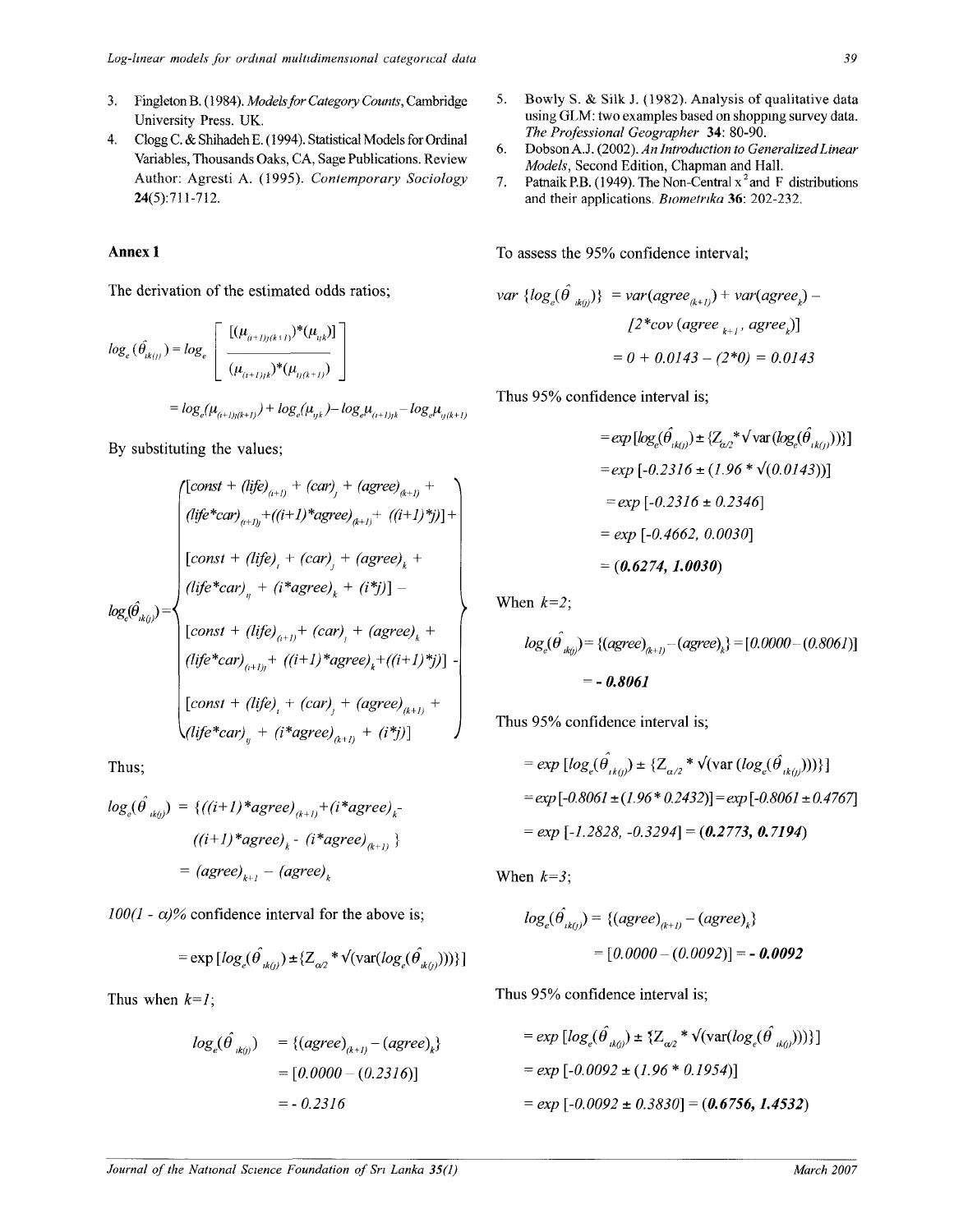- 3. Fingleton B. (1984). *Models for Category Counts,* Cambridge University Press. UK.
- 4. Clogg C. & Shihadeh E. (1994). Statistical Models for Ordinal Variables, Thousands Oaks, CA, Sage Publications. Review Author: Agresti A. (1995). *Contemporary Sociology*  24(5):711-712.

## Annex 1

The derivation of the estimated odds ratios;

$$
log_e(\hat{\theta}_{ik(j)}) = log_e \left[ \frac{[(\mu_{(i+1)j(k+1)})^*(\mu_{ijk})]}{(\mu_{(i+1)jk})^*(\mu_{ij(k+1)})} \right]
$$
  
=  $log_e(\mu_{(i+1)j(k+1)}) + log_e(\mu_{ijk}) - log_e\mu_{(i+1)jk} - log_e\mu_{ij(k+1)}$ 

By substituting the values;

$$
log_e(\hat{\theta}_{ik(j)}) = \begin{cases} [const + (life)_{(i+1)} + (car)_{j} + (agere)_{(k+1)} + (i+1)*agree)_{(k+1)} + ((i+1)*j)] + \\ (light + (air)_{j} + (car)_{j} + (agere)_{k} + (1)*{j})] - \\ (const + (life)_{i} + (i*agree)_{k} + (i*j)] - \\ [const + (life)_{(i+1)} + (car)_{j} + (agree)_{k} + (j*j)] - \\ (light + (air)_{(i+1)} + ((i+1)*agree)_{k} + ((i+1)*j)] - \\ [const + (life)_{i} + (car)_{j} + (agree)_{(k+1)} + \\ (life * car)_{ij} + (i*agree)_{(k+1)} + (i*j)] \end{cases}
$$

Thus;

$$
log_e(\hat{\theta}_{ik(j)}) = \{((i+1)*agree)_{(k+1)} + (i*agree)_{k}
$$

$$
((i+1)*agree)_{k} - (i*agree)_{(k+1)})
$$

$$
= (agree)_{k+1} - (agree)_{k}
$$

 $100(1 - \alpha)\%$  confidence interval for the above is;

$$
= \exp \left[ \log_e(\hat{\theta}_{ik(j)}) \pm \{Z_{\alpha/2} * \sqrt{\text{var}( \log_e(\hat{\theta}_{ik(j)}))} \} \right]
$$

Thus when *k=l;* 

$$
log_e(\hat{\theta}_{ik0}) = {(agree)_{(k+1)} - (agree)_k}
$$
  
= [0.0000 - (0.2316)]  
= -0.2316

- 5. Bowly S. & Silk J. (1982). Analysis of qualitative data using GLM: two examples based on shopping survey data. *The Professional Geographer* 34: 80-90.
- 6. Dobson A.J. (2002). *An Introduction to Generalized Linear Models,* Second Edition, Chapman and Hall.
- 7. Patnaik P.B. (1949). The Non-Central  $x^2$  and F distributions and their applications. *Biometrika* 36: 202-232.

To assess the 95% confidence interval;

$$
var\ \{log_e(\hat{\theta}_{ik(j)})\} = var(agree_{(k+1)}) + var(agree_{k}) -
$$

$$
[2 * cov (agree_{k+1}, agree_{k})]
$$

$$
= 0 + 0.0143 - (2 * 0) = 0.0143
$$

Thus 95% confidence interval is;

$$
= exp [log_e(\hat{\theta}_{ik(j)}) \pm \{Z_{\alpha/2}^* \sqrt{\text{var}(log_e(\hat{\theta}_{ik(j)}))}\}]
$$
  
= exp [-0.2316 \pm (1.96 \* \sqrt{(0.0143)})]  
= exp [-0.2316 \pm 0.2346]  
= exp [-0.4662, 0.0030]  
= (0.6274, 1.0030)

When *k=2;* 

$$
log_e(\hat{\theta}_{ik(j)}) = \{(agree)_{(k+1)} - (agree)_{k}\} = [0.0000 - (0.8061)]
$$
  
= - **0.8061**

Thus 95% confidence interval is;

$$
= exp [log_e(\hat{\theta}_{ik(j)}) \pm \{Z_{\alpha/2} * \sqrt{\text{var}(log_e(\hat{\theta}_{ik(j)}))}\}]
$$
  
= exp [-0.8061 \pm (1.96 \* 0.2432)] = exp [-0.8061 \pm 0.4767]  
= exp [-1.2828, -0.3294] = (0.2773, 0.7194)

When *k=3;* 

$$
log_e(\hat{\theta}_{ik(j)}) = \{(agree)_{(k+1)} - (agree)_{k}\}\
$$

$$
= [0.0000 - (0.0092)] = -0.0092
$$

Thus 95% confidence interval is;

$$
= exp [log_e(\hat{\theta}_{ik(j)}) \pm \{Z_{\alpha/2}} * \sqrt{(var(log_e(\hat{\theta}_{ik(j)})))}\]
$$
  
= exp [-0.0092 \pm (1.96 \* 0.1954)]  
= exp [-0.0092 \pm 0.3830] = (0.6756, 1.4532)